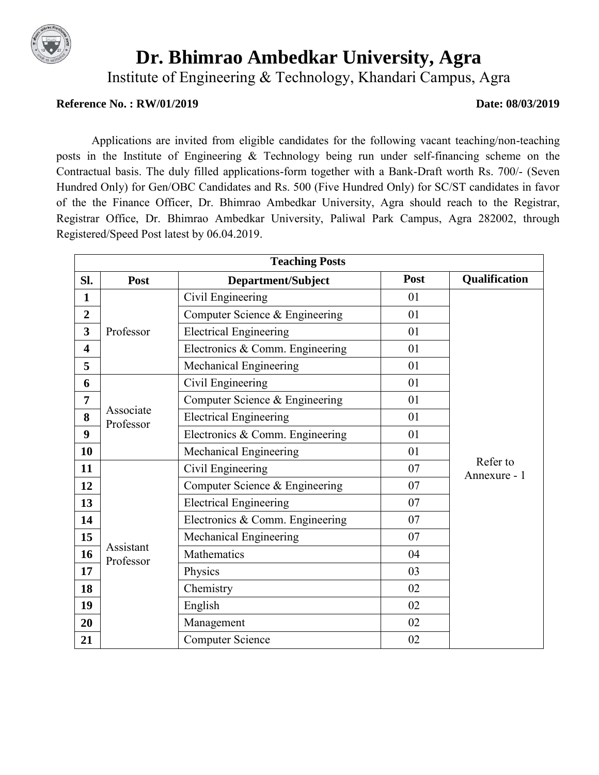

# **Dr. Bhimrao Ambedkar University, Agra**

Institute of Engineering & Technology, Khandari Campus, Agra

#### **Reference No. : RW/01/2019 Date: 08/03/2019**

Applications are invited from eligible candidates for the following vacant teaching/non-teaching posts in the Institute of Engineering & Technology being run under self-financing scheme on the Contractual basis. The duly filled applications-form together with a Bank-Draft worth Rs. 700/- (Seven Hundred Only) for Gen/OBC Candidates and Rs. 500 (Five Hundred Only) for SC/ST candidates in favor of the the Finance Officer, Dr. Bhimrao Ambedkar University, Agra should reach to the Registrar, Registrar Office, Dr. Bhimrao Ambedkar University, Paliwal Park Campus, Agra 282002, through Registered/Speed Post latest by 06.04.2019.

| <b>Teaching Posts</b>   |                                      |                                 |      |                          |  |  |
|-------------------------|--------------------------------------|---------------------------------|------|--------------------------|--|--|
| SI.                     | Post                                 | Department/Subject              | Post | <b>Qualification</b>     |  |  |
| $\mathbf{1}$            |                                      | Civil Engineering               | 01   |                          |  |  |
| $\overline{2}$          | $\overline{\mathbf{3}}$<br>Professor | Computer Science & Engineering  | 01   |                          |  |  |
|                         |                                      | <b>Electrical Engineering</b>   | 01   |                          |  |  |
| $\overline{\mathbf{4}}$ |                                      | Electronics & Comm. Engineering | 01   |                          |  |  |
| 5                       |                                      | Mechanical Engineering          | 01   |                          |  |  |
| 6                       |                                      | Civil Engineering               | 01   |                          |  |  |
| 7                       |                                      | Computer Science & Engineering  | 01   |                          |  |  |
| 8                       | Associate<br>Professor               | <b>Electrical Engineering</b>   | 01   |                          |  |  |
| 9                       |                                      | Electronics & Comm. Engineering | 01   |                          |  |  |
| 10                      |                                      | Mechanical Engineering          | 01   |                          |  |  |
| 11                      |                                      | Civil Engineering               | 07   | Refer to<br>Annexure - 1 |  |  |
| 12                      |                                      | Computer Science & Engineering  | 07   |                          |  |  |
| 13                      |                                      | <b>Electrical Engineering</b>   | 07   |                          |  |  |
| 14                      |                                      | Electronics & Comm. Engineering | 07   |                          |  |  |
| 15                      |                                      | Mechanical Engineering          | 07   |                          |  |  |
| 16                      | Assistant<br>Professor               | Mathematics                     | 04   |                          |  |  |
| 17                      |                                      | Physics                         | 03   |                          |  |  |
| 18                      |                                      | Chemistry                       | 02   |                          |  |  |
| 19                      |                                      | English                         | 02   |                          |  |  |
| 20                      |                                      | Management                      | 02   |                          |  |  |
| 21                      |                                      | <b>Computer Science</b>         | 02   |                          |  |  |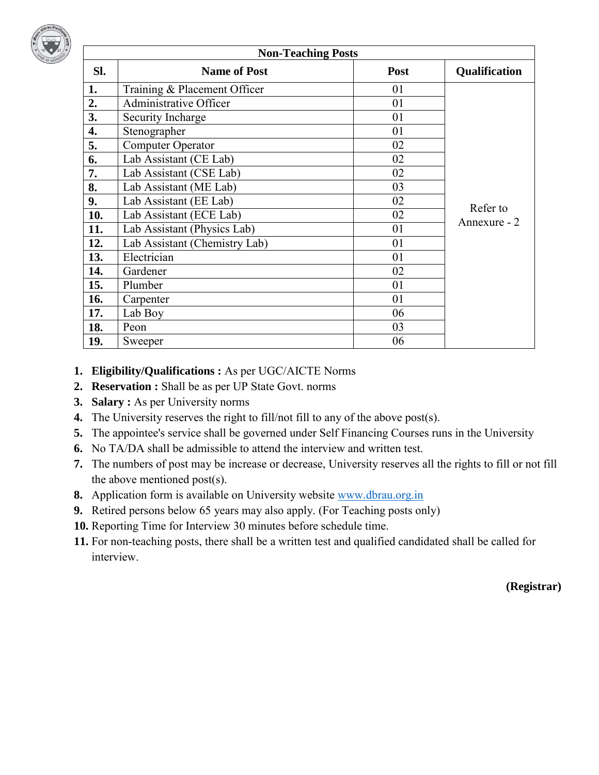

|     | <b>Non-Teaching Posts</b>     |      |                          |  |  |  |  |
|-----|-------------------------------|------|--------------------------|--|--|--|--|
| Sl. | <b>Name of Post</b>           | Post | Qualification            |  |  |  |  |
| 1.  | Training & Placement Officer  | 01   |                          |  |  |  |  |
| 2.  | <b>Administrative Officer</b> | 01   |                          |  |  |  |  |
| 3.  | Security Incharge             | 01   |                          |  |  |  |  |
| 4.  | Stenographer                  | 01   |                          |  |  |  |  |
| 5.  | <b>Computer Operator</b>      | 02   |                          |  |  |  |  |
| 6.  | Lab Assistant (CE Lab)        | 02   |                          |  |  |  |  |
| 7.  | Lab Assistant (CSE Lab)       | 02   |                          |  |  |  |  |
| 8.  | Lab Assistant (ME Lab)        | 03   |                          |  |  |  |  |
| 9.  | Lab Assistant (EE Lab)        | 02   |                          |  |  |  |  |
| 10. | Lab Assistant (ECE Lab)       | 02   | Refer to<br>Annexure - 2 |  |  |  |  |
| 11. | Lab Assistant (Physics Lab)   | 01   |                          |  |  |  |  |
| 12. | Lab Assistant (Chemistry Lab) | 01   |                          |  |  |  |  |
| 13. | Electrician                   | 01   |                          |  |  |  |  |
| 14. | Gardener                      | 02   |                          |  |  |  |  |
| 15. | Plumber                       | 01   |                          |  |  |  |  |
| 16. | Carpenter                     | 01   |                          |  |  |  |  |
| 17. | Lab Boy                       | 06   |                          |  |  |  |  |
| 18. | Peon                          | 03   |                          |  |  |  |  |
| 19. | Sweeper                       | 06   |                          |  |  |  |  |

#### **1. Eligibility/Qualifications :** As per UGC/AICTE Norms

- **2. Reservation :** Shall be as per UP State Govt. norms
- **3. Salary :** As per University norms
- **4.** The University reserves the right to fill/not fill to any of the above post(s).
- **5.** The appointee's service shall be governed under Self Financing Courses runs in the University
- **6.** No TA/DA shall be admissible to attend the interview and written test.
- **7.** The numbers of post may be increase or decrease, University reserves all the rights to fill or not fill the above mentioned post(s).
- **8.** Application form is available on University website www.dbrau.org.in
- **9.** Retired persons below 65 years may also apply. (For Teaching posts only)
- **10.** Reporting Time for Interview 30 minutes before schedule time.
- **11.** For non-teaching posts, there shall be a written test and qualified candidated shall be called for interview.

**(Registrar)**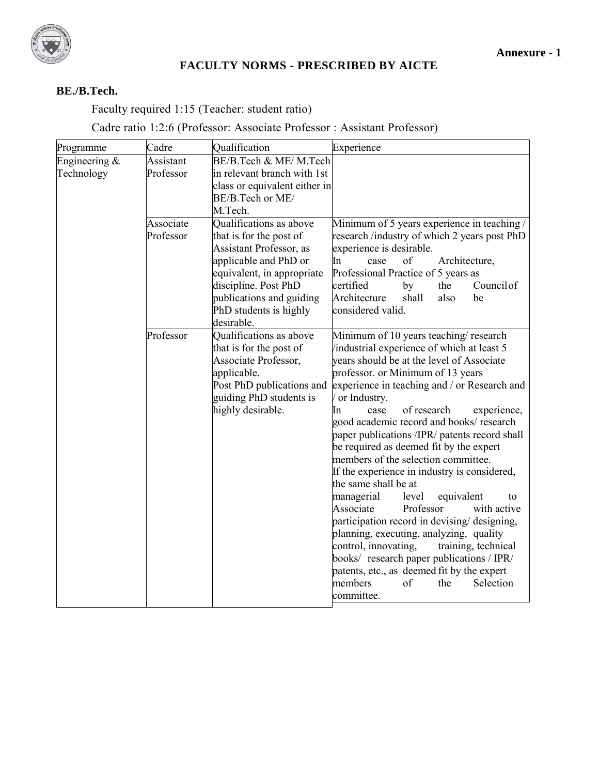

#### **FACULTY NORMS - PRESCRIBED BY AICTE**

### **BE./B.Tech.**

Faculty required 1:15 (Teacher: student ratio)

# Cadre ratio 1:2:6 (Professor: Associate Professor : Assistant Professor)

| Programme                     | Cadre                  | Qualification                                                                                                                                                                                                                    | Experience                                                                                                                                                                                                                                                                                                                                                                                                                                                                                                                                                                                                                                                                                                                                                                                                                                                                                                           |
|-------------------------------|------------------------|----------------------------------------------------------------------------------------------------------------------------------------------------------------------------------------------------------------------------------|----------------------------------------------------------------------------------------------------------------------------------------------------------------------------------------------------------------------------------------------------------------------------------------------------------------------------------------------------------------------------------------------------------------------------------------------------------------------------------------------------------------------------------------------------------------------------------------------------------------------------------------------------------------------------------------------------------------------------------------------------------------------------------------------------------------------------------------------------------------------------------------------------------------------|
| Engineering $&$<br>Technology | Assistant<br>Professor | BE/B.Tech & ME/M.Tech<br>in relevant branch with 1st<br>class or equivalent either in<br>BE/B.Tech or ME/<br>M.Tech.                                                                                                             |                                                                                                                                                                                                                                                                                                                                                                                                                                                                                                                                                                                                                                                                                                                                                                                                                                                                                                                      |
|                               | Associate<br>Professor | Qualifications as above<br>that is for the post of<br>Assistant Professor, as<br>applicable and PhD or<br>equivalent, in appropriate<br>discipline. Post PhD<br>publications and guiding<br>PhD students is highly<br>desirable. | Minimum of 5 years experience in teaching /<br>research /industry of which 2 years post PhD<br>experience is desirable.<br>of<br>Architecture,<br>In<br>case<br>Professional Practice of 5 years as<br>Council of<br>certified<br>by<br>the<br>Architecture<br>shall<br>also<br>be<br>considered valid.                                                                                                                                                                                                                                                                                                                                                                                                                                                                                                                                                                                                              |
|                               | Professor              | Qualifications as above<br>that is for the post of<br>Associate Professor,<br>applicable.<br>Post PhD publications and<br>guiding PhD students is<br>highly desirable.                                                           | Minimum of 10 years teaching/research<br>industrial experience of which at least 5<br>years should be at the level of Associate<br>professor. or Minimum of 13 years<br>experience in teaching and / or Research and<br>or Industry.<br>of research<br>experience,<br>case<br>In.<br>good academic record and books/ research<br>paper publications /IPR/ patents record shall<br>be required as deemed fit by the expert<br>members of the selection committee.<br>If the experience in industry is considered,<br>the same shall be at<br>managerial<br>level<br>equivalent<br>to<br>Associate<br>Professor<br>with active<br>participation record in devising/ designing,<br>planning, executing, analyzing, quality<br>control, innovating,<br>training, technical<br>books/ research paper publications / IPR/<br>patents, etc., as deemed fit by the expert<br>members<br>Selection<br>of<br>the<br>committee. |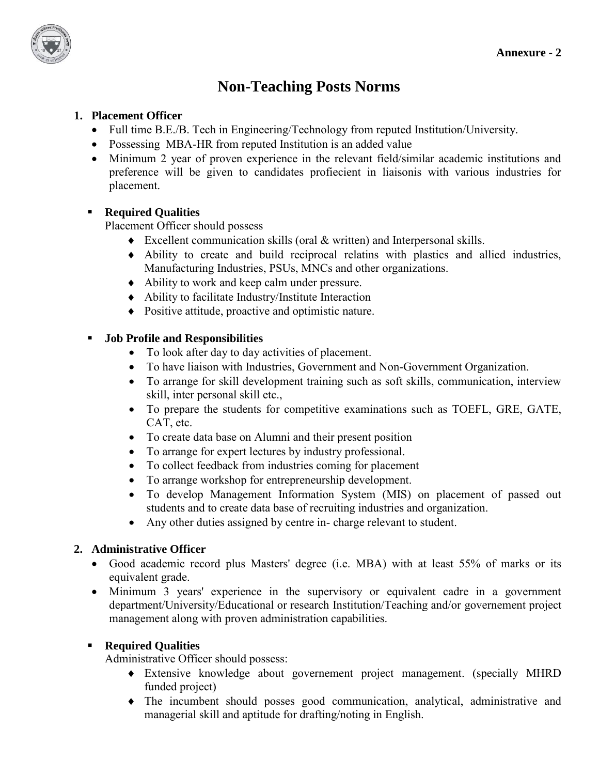

# **Non-Teaching Posts Norms**

#### **1. Placement Officer**

- Full time B.E./B. Tech in Engineering/Technology from reputed Institution/University.
- Possessing MBA-HR from reputed Institution is an added value
- Minimum 2 year of proven experience in the relevant field/similar academic institutions and preference will be given to candidates profiecient in liaisonis with various industries for placement.

#### **Required Qualities**

Placement Officer should possess

- Excellent communication skills (oral & written) and Interpersonal skills.
- Ability to create and build reciprocal relatins with plastics and allied industries, Manufacturing Industries, PSUs, MNCs and other organizations.
- Ability to work and keep calm under pressure.
- Ability to facilitate Industry/Institute Interaction
- Positive attitude, proactive and optimistic nature.

#### **Job Profile and Responsibilities**

- To look after day to day activities of placement.
- To have liaison with Industries, Government and Non-Government Organization.
- To arrange for skill development training such as soft skills, communication, interview skill, inter personal skill etc.,
- To prepare the students for competitive examinations such as TOEFL, GRE, GATE, CAT, etc.
- To create data base on Alumni and their present position
- To arrange for expert lectures by industry professional.
- To collect feedback from industries coming for placement
- To arrange workshop for entrepreneurship development.
- To develop Management Information System (MIS) on placement of passed out students and to create data base of recruiting industries and organization.
- Any other duties assigned by centre in- charge relevant to student.

#### **2. Administrative Officer**

- Good academic record plus Masters' degree (i.e. MBA) with at least 55% of marks or its equivalent grade.
- Minimum 3 years' experience in the supervisory or equivalent cadre in a government department/University/Educational or research Institution/Teaching and/or governement project management along with proven administration capabilities.

#### **Required Qualities**

Administrative Officer should possess:

- Extensive knowledge about governement project management. (specially MHRD funded project)
- The incumbent should posses good communication, analytical, administrative and managerial skill and aptitude for drafting/noting in English.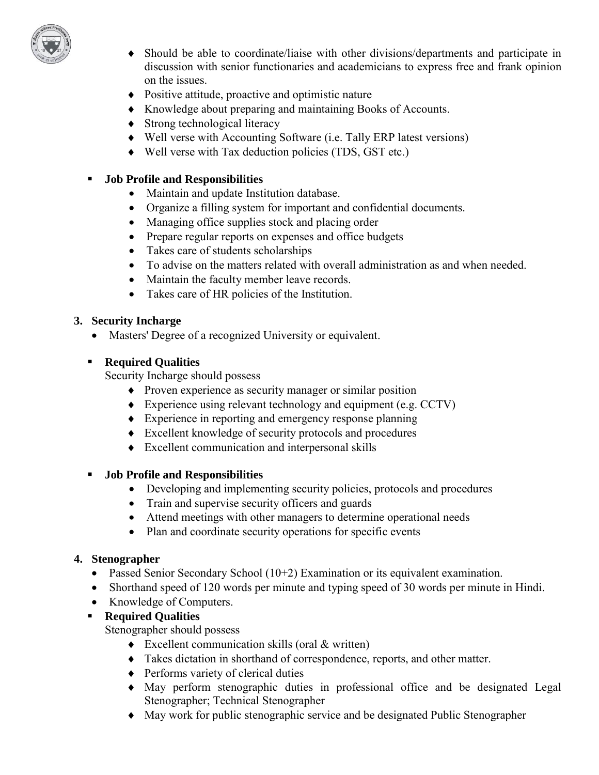

- Should be able to coordinate/liaise with other divisions/departments and participate in discussion with senior functionaries and academicians to express free and frank opinion on the issues.
- Positive attitude, proactive and optimistic nature
- Knowledge about preparing and maintaining Books of Accounts.
- Strong technological literacy
- Well verse with Accounting Software (i.e. Tally ERP latest versions)
- Well verse with Tax deduction policies (TDS, GST etc.)

#### **Job Profile and Responsibilities**

- Maintain and update Institution database.
- Organize a filling system for important and confidential documents.
- Managing office supplies stock and placing order
- Prepare regular reports on expenses and office budgets
- Takes care of students scholarships
- To advise on the matters related with overall administration as and when needed.
- Maintain the faculty member leave records.
- Takes care of HR policies of the Institution.

#### **3. Security Incharge**

Masters' Degree of a recognized University or equivalent.

#### **Required Qualities**

Security Incharge should possess

- Proven experience as security manager or similar position
- Experience using relevant technology and equipment (e.g. CCTV)
- Experience in reporting and emergency response planning
- Excellent knowledge of security protocols and procedures
- Excellent communication and interpersonal skills

#### **Job Profile and Responsibilities**

- Developing and implementing security policies, protocols and procedures
- Train and supervise security officers and guards
- Attend meetings with other managers to determine operational needs
- Plan and coordinate security operations for specific events

#### **4. Stenographer**

- Passed Senior Secondary School (10+2) Examination or its equivalent examination.
- Shorthand speed of 120 words per minute and typing speed of 30 words per minute in Hindi.
- Knowledge of Computers.
- **Required Qualities**

Stenographer should possess

- Excellent communication skills (oral & written)
- Takes dictation in shorthand of correspondence, reports, and other matter.
- ◆ Performs variety of clerical duties
- May perform stenographic duties in professional office and be designated Legal Stenographer; Technical Stenographer
- May work for public stenographic service and be designated Public Stenographer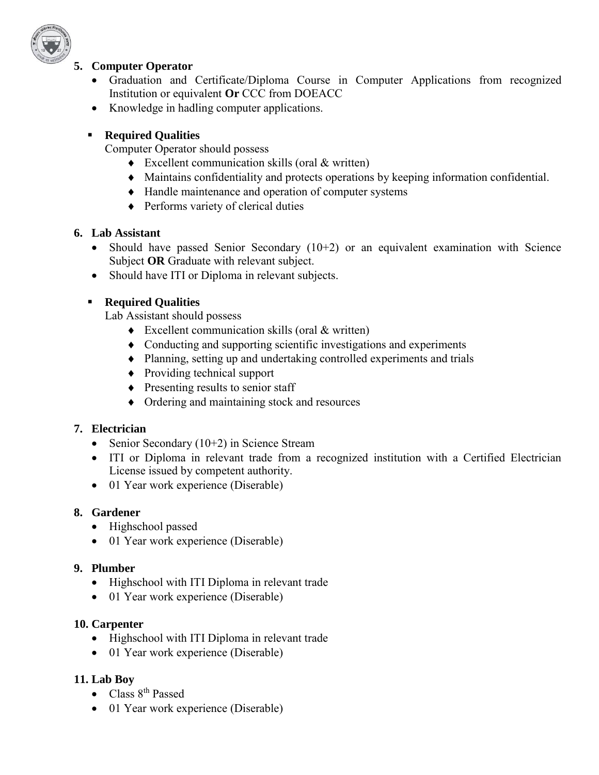

#### **5. Computer Operator**

- Graduation and Certificate/Diploma Course in Computer Applications from recognized Institution or equivalent **Or** CCC from DOEACC
- Knowledge in hadling computer applications.

#### **Required Qualities**

Computer Operator should possess

- ◆ Excellent communication skills (oral & written)
- Maintains confidentiality and protects operations by keeping information confidential.
- Handle maintenance and operation of computer systems
- ◆ Performs variety of clerical duties

#### **6. Lab Assistant**

- Should have passed Senior Secondary  $(10+2)$  or an equivalent examination with Science Subject **OR** Graduate with relevant subject.
- Should have ITI or Diploma in relevant subjects.

## **Required Qualities**

Lab Assistant should possess

- Excellent communication skills (oral & written)
- Conducting and supporting scientific investigations and experiments
- Planning, setting up and undertaking controlled experiments and trials
- Providing technical support
- $\triangle$  Presenting results to senior staff
- Ordering and maintaining stock and resources

#### **7. Electrician**

- Senior Secondary  $(10+2)$  in Science Stream
- ITI or Diploma in relevant trade from a recognized institution with a Certified Electrician License issued by competent authority.
- 01 Year work experience (Diserable)

## **8. Gardener**

- Highschool passed
- 01 Year work experience (Diserable)

#### **9. Plumber**

- Highschool with ITI Diploma in relevant trade
- 01 Year work experience (Diserable)

#### **10. Carpenter**

- Highschool with ITI Diploma in relevant trade
- 01 Year work experience (Diserable)

## **11. Lab Boy**

- Class 8<sup>th</sup> Passed
- 01 Year work experience (Diserable)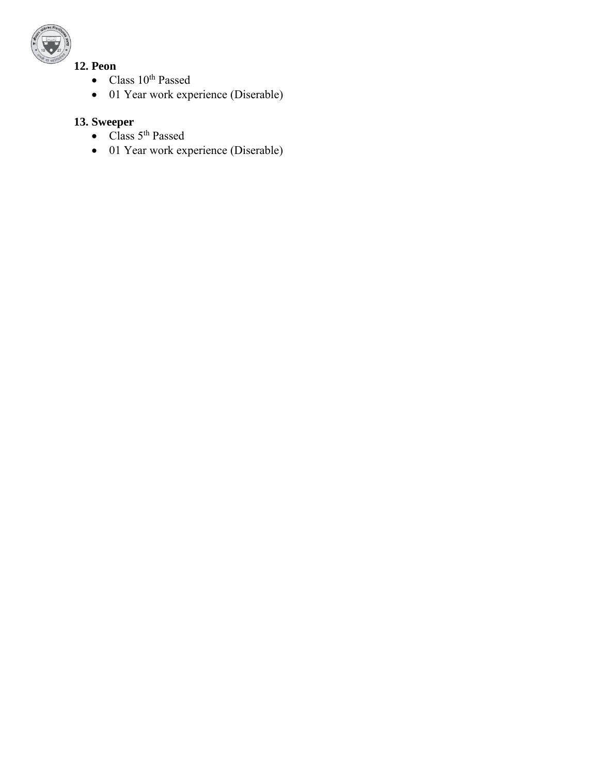

# **12. Peon**

- $\bullet$  Class 10<sup>th</sup> Passed
- 01 Year work experience (Diserable)

# **13. Sweeper**

- Class 5<sup>th</sup> Passed
- $\bullet$  01 Year work experience (Diserable)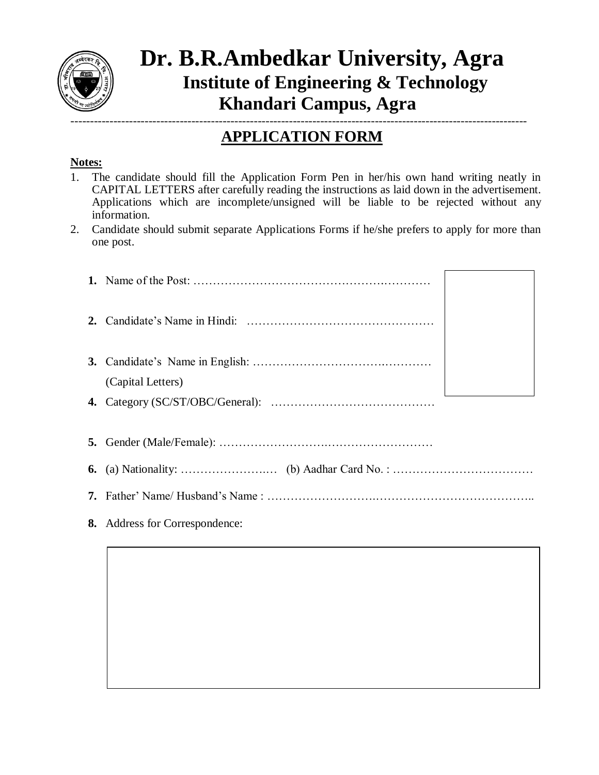

# **Dr. B.R.Ambedkar University, Agra Institute of Engineering & Technology Khandari Campus, Agra**  ---------------------------------------------------------------------------------------------------------------------

# **APPLICATION FORM**

# **Notes:**

- 1. The candidate should fill the Application Form Pen in her/his own hand writing neatly in CAPITAL LETTERS after carefully reading the instructions as laid down in the advertisement. Applications which are incomplete/unsigned will be liable to be rejected without any information.
- 2. Candidate should submit separate Applications Forms if he/she prefers to apply for more than one post.

|    | (Capital Letters)           |  |
|----|-----------------------------|--|
|    |                             |  |
|    |                             |  |
|    |                             |  |
|    |                             |  |
|    |                             |  |
| 8. | Address for Correspondence: |  |
|    |                             |  |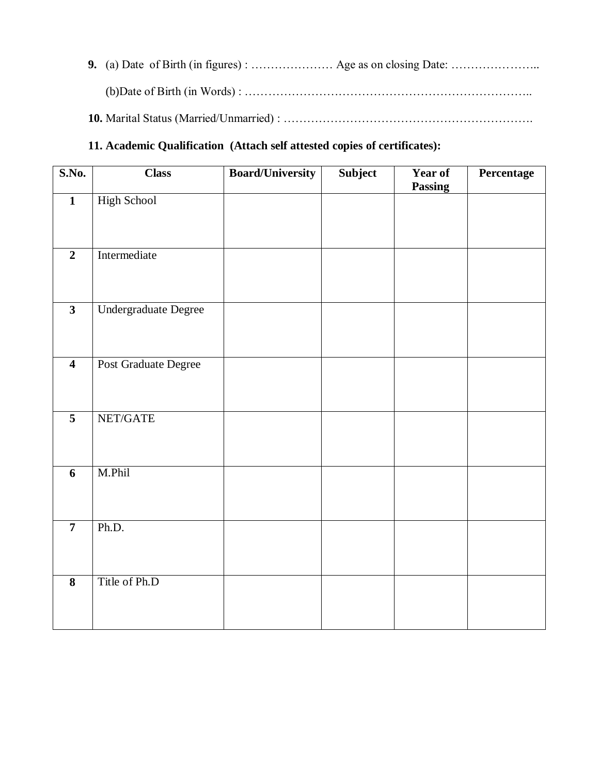**9.** (a) Date of Birth (in figures) : ………………… Age as on closing Date: ………………….. (b)Date of Birth (in Words) : ……………………………………………………………….. **10.** Marital Status (Married/Unmarried) : ……………………………………………………….

#### **11. Academic Qualification (Attach self attested copies of certificates):**

| S.No.                   | <b>Class</b>         | <b>Board/University</b> | Subject | Year of<br><b>Passing</b> | Percentage |
|-------------------------|----------------------|-------------------------|---------|---------------------------|------------|
| $\mathbf{1}$            | <b>High School</b>   |                         |         |                           |            |
| $\overline{2}$          | Intermediate         |                         |         |                           |            |
| $\overline{\mathbf{3}}$ | Undergraduate Degree |                         |         |                           |            |
| $\overline{\mathbf{4}}$ | Post Graduate Degree |                         |         |                           |            |
| $\overline{5}$          | NET/GATE             |                         |         |                           |            |
| 6                       | M.Phil               |                         |         |                           |            |
| $\overline{7}$          | Ph.D.                |                         |         |                           |            |
| $\overline{\mathbf{8}}$ | Title of Ph.D        |                         |         |                           |            |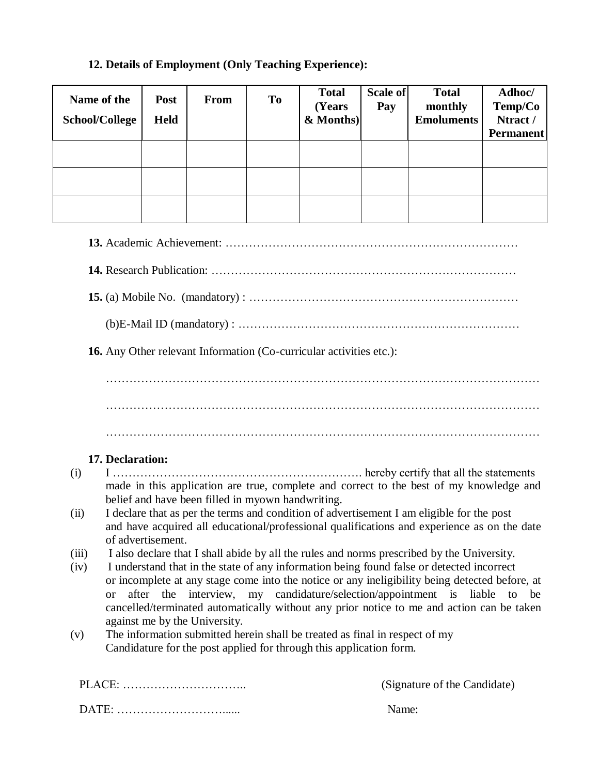# **12. Details of Employment (Only Teaching Experience):**

| Name of the<br><b>School/College</b> |                  | Post<br><b>Held</b> | From                                              | T <sub>o</sub> | <b>Total</b><br>(Years<br>& Months)                                         | Scale of<br>Pay | <b>Total</b><br>monthly<br><b>Emoluments</b>                                                   | Adhoc/<br>Temp/Co<br>Ntract /<br><b>Permanent</b> |
|--------------------------------------|------------------|---------------------|---------------------------------------------------|----------------|-----------------------------------------------------------------------------|-----------------|------------------------------------------------------------------------------------------------|---------------------------------------------------|
|                                      |                  |                     |                                                   |                |                                                                             |                 |                                                                                                |                                                   |
|                                      |                  |                     |                                                   |                |                                                                             |                 |                                                                                                |                                                   |
|                                      |                  |                     |                                                   |                |                                                                             |                 |                                                                                                |                                                   |
|                                      |                  |                     |                                                   |                |                                                                             |                 |                                                                                                |                                                   |
|                                      |                  |                     |                                                   |                |                                                                             |                 |                                                                                                |                                                   |
|                                      |                  |                     |                                                   |                |                                                                             |                 |                                                                                                |                                                   |
|                                      |                  |                     |                                                   |                |                                                                             |                 |                                                                                                |                                                   |
|                                      |                  |                     |                                                   |                |                                                                             |                 |                                                                                                |                                                   |
|                                      |                  |                     |                                                   |                |                                                                             |                 |                                                                                                |                                                   |
|                                      |                  |                     |                                                   |                | 16. Any Other relevant Information (Co-curricular activities etc.):         |                 |                                                                                                |                                                   |
|                                      |                  |                     |                                                   |                |                                                                             |                 |                                                                                                |                                                   |
|                                      |                  |                     |                                                   |                |                                                                             |                 |                                                                                                |                                                   |
|                                      |                  |                     |                                                   |                |                                                                             |                 |                                                                                                |                                                   |
|                                      |                  |                     |                                                   |                |                                                                             |                 |                                                                                                |                                                   |
|                                      | 17. Declaration: |                     |                                                   |                |                                                                             |                 |                                                                                                |                                                   |
| (i)                                  |                  |                     |                                                   |                |                                                                             |                 |                                                                                                |                                                   |
|                                      |                  |                     | belief and have been filled in myown handwriting. |                |                                                                             |                 | made in this application are true, complete and correct to the best of my knowledge and        |                                                   |
| (ii)                                 |                  |                     |                                                   |                |                                                                             |                 | I declare that as per the terms and condition of advertisement I am eligible for the post      |                                                   |
|                                      |                  |                     |                                                   |                |                                                                             |                 | and have acquired all educational/professional qualifications and experience as on the date    |                                                   |
| (iii)                                |                  | of advertisement.   |                                                   |                |                                                                             |                 | I also declare that I shall abide by all the rules and norms prescribed by the University.     |                                                   |
| (iv)                                 |                  |                     |                                                   |                |                                                                             |                 | I understand that in the state of any information being found false or detected incorrect      |                                                   |
|                                      |                  |                     |                                                   |                |                                                                             |                 | or incomplete at any stage come into the notice or any ineligibility being detected before, at |                                                   |
|                                      | <sub>or</sub>    |                     |                                                   |                |                                                                             |                 | after the interview, my candidature/selection/appointment is liable to                         | be                                                |
|                                      |                  |                     | against me by the University.                     |                |                                                                             |                 | cancelled/terminated automatically without any prior notice to me and action can be taken      |                                                   |
| (v)                                  |                  |                     |                                                   |                | The information submitted herein shall be treated as final in respect of my |                 |                                                                                                |                                                   |
|                                      |                  |                     |                                                   |                | Candidature for the post applied for through this application form.         |                 |                                                                                                |                                                   |
|                                      |                  |                     |                                                   |                |                                                                             |                 |                                                                                                |                                                   |
|                                      |                  |                     | PLACE:                                            |                |                                                                             |                 | (Signature of the Candidate)                                                                   |                                                   |

DATE: ………………………...... Name: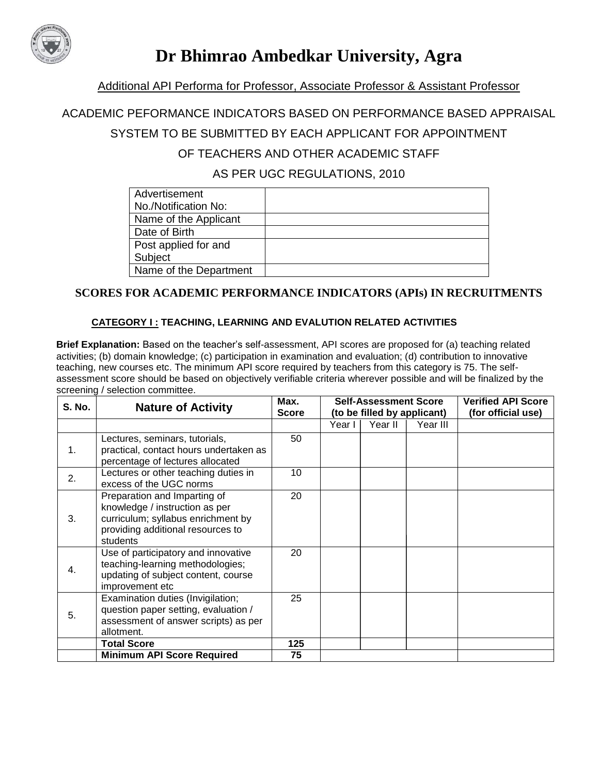

# **Dr Bhimrao Ambedkar University, Agra**

#### Additional API Performa for Professor, Associate Professor & Assistant Professor

#### ACADEMIC PEFORMANCE INDICATORS BASED ON PERFORMANCE BASED APPRAISAL

### SYSTEM TO BE SUBMITTED BY EACH APPLICANT FOR APPOINTMENT

# OF TEACHERS AND OTHER ACADEMIC STAFF

AS PER UGC REGULATIONS, 2010

| Advertisement          |  |
|------------------------|--|
| No./Notification No:   |  |
| Name of the Applicant  |  |
| Date of Birth          |  |
| Post applied for and   |  |
| Subject                |  |
| Name of the Department |  |

#### **SCORES FOR ACADEMIC PERFORMANCE INDICATORS (APIs) IN RECRUITMENTS**

#### **CATEGORY I : TEACHING, LEARNING AND EVALUTION RELATED ACTIVITIES**

**Brief Explanation:** Based on the teacher's self-assessment, API scores are proposed for (a) teaching related activities; (b) domain knowledge; (c) participation in examination and evaluation; (d) contribution to innovative teaching, new courses etc. The minimum API score required by teachers from this category is 75. The selfassessment score should be based on objectively verifiable criteria wherever possible and will be finalized by the screening / selection committee.

| <b>S. No.</b> | <b>Nature of Activity</b>                                                                                                                             | Max.<br><b>Score</b> |        | <b>Self-Assessment Score</b><br>(to be filled by applicant) |          | <b>Verified API Score</b><br>(for official use) |
|---------------|-------------------------------------------------------------------------------------------------------------------------------------------------------|----------------------|--------|-------------------------------------------------------------|----------|-------------------------------------------------|
|               |                                                                                                                                                       |                      | Year I | Year II                                                     | Year III |                                                 |
| 1.            | Lectures, seminars, tutorials,<br>practical, contact hours undertaken as<br>percentage of lectures allocated                                          | 50                   |        |                                                             |          |                                                 |
| 2.            | Lectures or other teaching duties in<br>excess of the UGC norms                                                                                       | 10                   |        |                                                             |          |                                                 |
| 3.            | Preparation and Imparting of<br>knowledge / instruction as per<br>curriculum; syllabus enrichment by<br>providing additional resources to<br>students | 20                   |        |                                                             |          |                                                 |
| 4.            | Use of participatory and innovative<br>teaching-learning methodologies;<br>updating of subject content, course<br>improvement etc                     | 20                   |        |                                                             |          |                                                 |
| 5.            | Examination duties (Invigilation;<br>question paper setting, evaluation /<br>assessment of answer scripts) as per<br>allotment.                       | 25                   |        |                                                             |          |                                                 |
|               | <b>Total Score</b>                                                                                                                                    | 125                  |        |                                                             |          |                                                 |
|               | <b>Minimum API Score Required</b>                                                                                                                     | 75                   |        |                                                             |          |                                                 |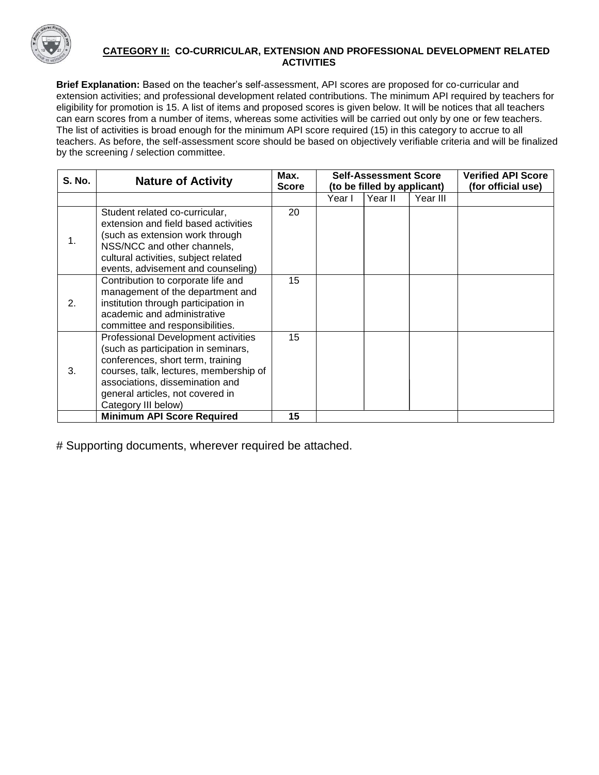

#### **CATEGORY II: CO-CURRICULAR, EXTENSION AND PROFESSIONAL DEVELOPMENT RELATED ACTIVITIES**

**Brief Explanation:** Based on the teacher's self-assessment, API scores are proposed for co-curricular and extension activities; and professional development related contributions. The minimum API required by teachers for eligibility for promotion is 15. A list of items and proposed scores is given below. It will be notices that all teachers can earn scores from a number of items, whereas some activities will be carried out only by one or few teachers. The list of activities is broad enough for the minimum API score required (15) in this category to accrue to all teachers. As before, the self-assessment score should be based on objectively verifiable criteria and will be finalized by the screening / selection committee.

| <b>S. No.</b> | <b>Nature of Activity</b>                                                                                                                                                                                                                               | Max.<br><b>Score</b> | <b>Self-Assessment Score</b><br>(to be filled by applicant) |         |          | <b>Verified API Score</b><br>(for official use) |
|---------------|---------------------------------------------------------------------------------------------------------------------------------------------------------------------------------------------------------------------------------------------------------|----------------------|-------------------------------------------------------------|---------|----------|-------------------------------------------------|
|               |                                                                                                                                                                                                                                                         |                      | Year I                                                      | Year II | Year III |                                                 |
| 1.            | Student related co-curricular,<br>extension and field based activities<br>(such as extension work through<br>NSS/NCC and other channels,<br>cultural activities, subject related<br>events, advisement and counseling)                                  | 20                   |                                                             |         |          |                                                 |
| 2.            | Contribution to corporate life and<br>management of the department and<br>institution through participation in<br>academic and administrative<br>committee and responsibilities.                                                                        | 15                   |                                                             |         |          |                                                 |
| 3.            | Professional Development activities<br>(such as participation in seminars,<br>conferences, short term, training<br>courses, talk, lectures, membership of<br>associations, dissemination and<br>general articles, not covered in<br>Category III below) | 15                   |                                                             |         |          |                                                 |
|               | <b>Minimum API Score Required</b>                                                                                                                                                                                                                       | 15                   |                                                             |         |          |                                                 |

# Supporting documents, wherever required be attached.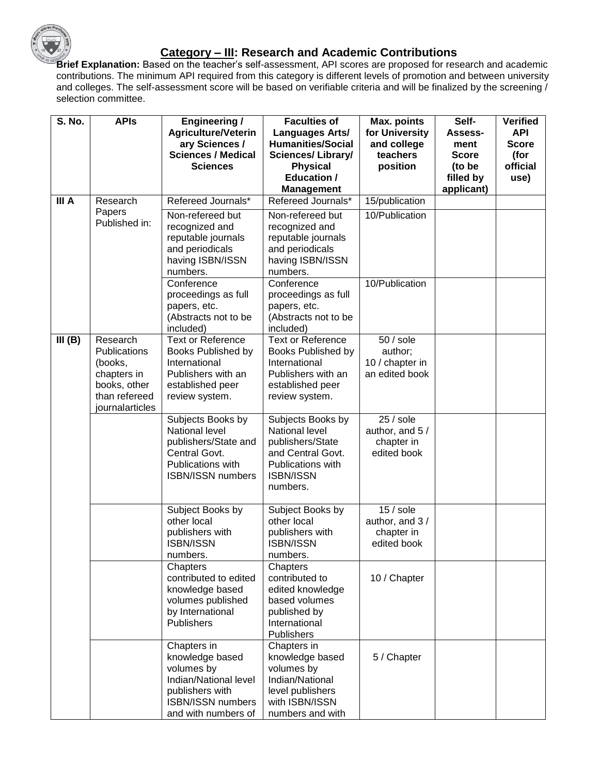

### **Category – III: Research and Academic Contributions**

**Brief Explanation:** Based on the teacher's self-assessment, API scores are proposed for research and academic contributions. The minimum API required from this category is different levels of promotion and between university and colleges. The self-assessment score will be based on verifiable criteria and will be finalized by the screening / selection committee.

| <b>S. No.</b> | <b>APIs</b>             | <b>Engineering /</b>                  | <b>Faculties of</b>                    | Max. points            | Self-          | <b>Verified</b> |
|---------------|-------------------------|---------------------------------------|----------------------------------------|------------------------|----------------|-----------------|
|               |                         | <b>Agriculture/Veterin</b>            | Languages Arts/                        | for University         | <b>Assess-</b> | <b>API</b>      |
|               |                         | ary Sciences /                        | <b>Humanities/Social</b>               | and college            | ment           | <b>Score</b>    |
|               |                         | <b>Sciences / Medical</b>             | <b>Sciences/Library/</b>               | teachers               | <b>Score</b>   | (for            |
|               |                         | <b>Sciences</b>                       | <b>Physical</b>                        | position               | (to be         | official        |
|               |                         |                                       | <b>Education /</b>                     |                        | filled by      | use)            |
|               |                         |                                       | <b>Management</b>                      |                        | applicant)     |                 |
| III A         | Research                | Refereed Journals*                    | Refereed Journals*                     | 15/publication         |                |                 |
|               | Papers<br>Published in: | Non-refereed but                      | Non-refereed but                       | 10/Publication         |                |                 |
|               |                         | recognized and                        | recognized and                         |                        |                |                 |
|               |                         | reputable journals                    | reputable journals                     |                        |                |                 |
|               |                         | and periodicals                       | and periodicals                        |                        |                |                 |
|               |                         | having ISBN/ISSN                      | having ISBN/ISSN                       |                        |                |                 |
|               |                         | numbers.                              | numbers.                               |                        |                |                 |
|               |                         | Conference<br>proceedings as full     | Conference<br>proceedings as full      | 10/Publication         |                |                 |
|               |                         | papers, etc.                          | papers, etc.                           |                        |                |                 |
|               |                         | (Abstracts not to be                  | (Abstracts not to be                   |                        |                |                 |
|               |                         | included)                             | included)                              |                        |                |                 |
| III(B)        | Research                | <b>Text or Reference</b>              | <b>Text or Reference</b>               | $\overline{50}$ / sole |                |                 |
|               | <b>Publications</b>     | Books Published by                    | Books Published by                     | author;                |                |                 |
|               | (books,                 | International                         | International                          | 10 / chapter in        |                |                 |
|               | chapters in             | Publishers with an                    | Publishers with an                     | an edited book         |                |                 |
|               | books, other            | established peer                      | established peer                       |                        |                |                 |
|               | than refereed           | review system.                        | review system.                         |                        |                |                 |
|               | journalarticles         |                                       |                                        |                        |                |                 |
|               |                         | Subjects Books by                     | Subjects Books by                      | $25/$ sole             |                |                 |
|               |                         | National level                        | National level                         | author, and 5 /        |                |                 |
|               |                         | publishers/State and                  | publishers/State                       | chapter in             |                |                 |
|               |                         | Central Govt.<br>Publications with    | and Central Govt.<br>Publications with | edited book            |                |                 |
|               |                         | <b>ISBN/ISSN numbers</b>              | <b>ISBN/ISSN</b>                       |                        |                |                 |
|               |                         |                                       | numbers.                               |                        |                |                 |
|               |                         |                                       |                                        |                        |                |                 |
|               |                         | Subject Books by                      | Subject Books by                       | $15/$ sole             |                |                 |
|               |                         | other local                           | other local                            | author, and 3/         |                |                 |
|               |                         | publishers with                       | publishers with                        | chapter in             |                |                 |
|               |                         | <b>ISBN/ISSN</b>                      | <b>ISBN/ISSN</b>                       | edited book            |                |                 |
|               |                         | numbers.                              | numbers.                               |                        |                |                 |
|               |                         | Chapters                              | Chapters                               |                        |                |                 |
|               |                         | contributed to edited                 | contributed to                         | 10 / Chapter           |                |                 |
|               |                         | knowledge based                       | edited knowledge                       |                        |                |                 |
|               |                         | volumes published<br>by International | based volumes<br>published by          |                        |                |                 |
|               |                         | <b>Publishers</b>                     | International                          |                        |                |                 |
|               |                         |                                       | Publishers                             |                        |                |                 |
|               |                         | Chapters in                           | Chapters in                            |                        |                |                 |
|               |                         | knowledge based                       | knowledge based                        | 5 / Chapter            |                |                 |
|               |                         | volumes by                            | volumes by                             |                        |                |                 |
|               |                         | Indian/National level                 | Indian/National                        |                        |                |                 |
|               |                         | publishers with                       | level publishers                       |                        |                |                 |
|               |                         | <b>ISBN/ISSN numbers</b>              | with ISBN/ISSN                         |                        |                |                 |
|               |                         | and with numbers of                   | numbers and with                       |                        |                |                 |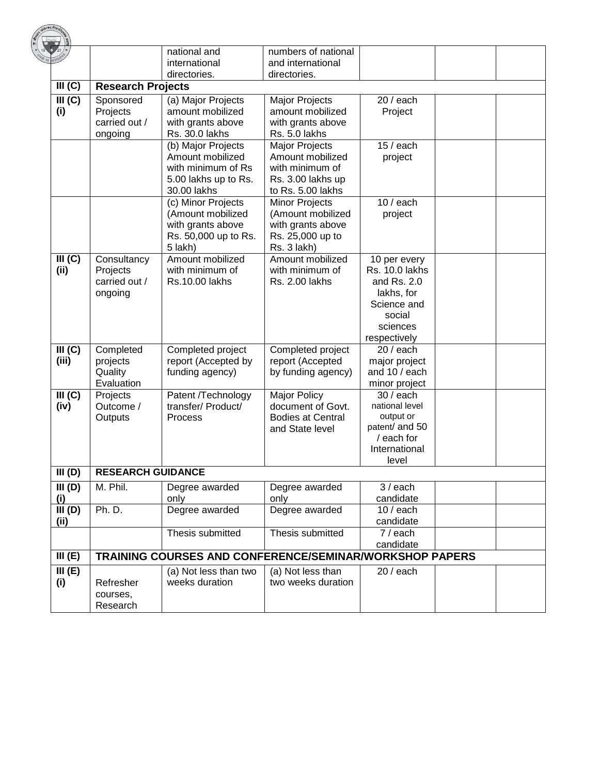|                 |                           | national and                                                   | numbers of national                |                                       |  |
|-----------------|---------------------------|----------------------------------------------------------------|------------------------------------|---------------------------------------|--|
|                 |                           | international                                                  | and international                  |                                       |  |
|                 |                           | directories.                                                   | directories.                       |                                       |  |
| III (C)         | <b>Research Projects</b>  |                                                                |                                    |                                       |  |
| III(G)          | Sponsored                 | (a) Major Projects                                             | Major Projects                     | $20/$ each                            |  |
| (i)             | Projects<br>carried out / | amount mobilized                                               | amount mobilized                   | Project                               |  |
|                 | ongoing                   | with grants above<br>Rs. 30.0 lakhs                            | with grants above<br>Rs. 5.0 lakhs |                                       |  |
|                 |                           | (b) Major Projects                                             | Major Projects                     | $15/$ each                            |  |
|                 |                           | Amount mobilized                                               | Amount mobilized                   | project                               |  |
|                 |                           | with minimum of Rs                                             | with minimum of                    |                                       |  |
|                 |                           | 5.00 lakhs up to Rs.                                           | Rs. 3.00 lakhs up                  |                                       |  |
|                 |                           | 30.00 lakhs                                                    | to Rs. 5.00 lakhs                  |                                       |  |
|                 |                           | (c) Minor Projects                                             | <b>Minor Projects</b>              | $10/$ each                            |  |
|                 |                           | (Amount mobilized                                              | (Amount mobilized                  | project                               |  |
|                 |                           | with grants above                                              | with grants above                  |                                       |  |
|                 |                           | Rs. 50,000 up to Rs.                                           | Rs. 25,000 up to                   |                                       |  |
|                 |                           | 5 lakh)<br>Amount mobilized                                    | Rs. 3 lakh)<br>Amount mobilized    |                                       |  |
| III (C)<br>(ii) | Consultancy<br>Projects   | with minimum of                                                | with minimum of                    | 10 per every<br><b>Rs. 10.0 lakhs</b> |  |
|                 | carried out /             | <b>Rs.10.00 lakhs</b>                                          | Rs. 2.00 lakhs                     | and Rs. 2.0                           |  |
|                 | ongoing                   |                                                                |                                    | lakhs, for                            |  |
|                 |                           |                                                                |                                    | Science and                           |  |
|                 |                           |                                                                |                                    | social                                |  |
|                 |                           |                                                                |                                    | sciences                              |  |
|                 |                           |                                                                |                                    | respectively                          |  |
| III (C)         | Completed                 | Completed project                                              | Completed project                  | $20/$ each                            |  |
| (iii)           | projects                  | report (Accepted by                                            | report (Accepted                   | major project                         |  |
|                 | Quality                   | funding agency)                                                | by funding agency)                 | and 10 / each                         |  |
|                 | Evaluation                |                                                                | <b>Major Policy</b>                | minor project<br>$30/$ each           |  |
| III(G)<br>(iv)  | Projects<br>Outcome /     | Patent /Technology<br>transfer/ Product/                       | document of Govt.                  | national level                        |  |
|                 | Outputs                   | Process                                                        | <b>Bodies at Central</b>           | output or                             |  |
|                 |                           |                                                                | and State level                    | patent/ and 50                        |  |
|                 |                           |                                                                |                                    | / each for                            |  |
|                 |                           |                                                                |                                    | International                         |  |
|                 |                           |                                                                |                                    | level                                 |  |
| III(D)          | <b>RESEARCH GUIDANCE</b>  |                                                                |                                    |                                       |  |
| III(D)          | M. Phil.                  | Degree awarded                                                 | Degree awarded                     | $3/$ each                             |  |
| (i)             |                           | only                                                           | only                               | candidate                             |  |
| III(D)          | Ph. D.                    | Degree awarded                                                 | Degree awarded                     | $10/$ each                            |  |
| (ii)            |                           | Thesis submitted                                               | Thesis submitted                   | candidate<br>7 / each                 |  |
|                 |                           |                                                                |                                    | candidate                             |  |
| III(E)          |                           | <b>TRAINING COURSES AND CONFERENCE/SEMINAR/WORKSHOP PAPERS</b> |                                    |                                       |  |
| III(E)          |                           | (a) Not less than two                                          | (a) Not less than                  | $20/$ each                            |  |
| (i)             | Refresher                 | weeks duration                                                 | two weeks duration                 |                                       |  |
|                 | courses,                  |                                                                |                                    |                                       |  |
|                 | Research                  |                                                                |                                    |                                       |  |

**CARTE Fire**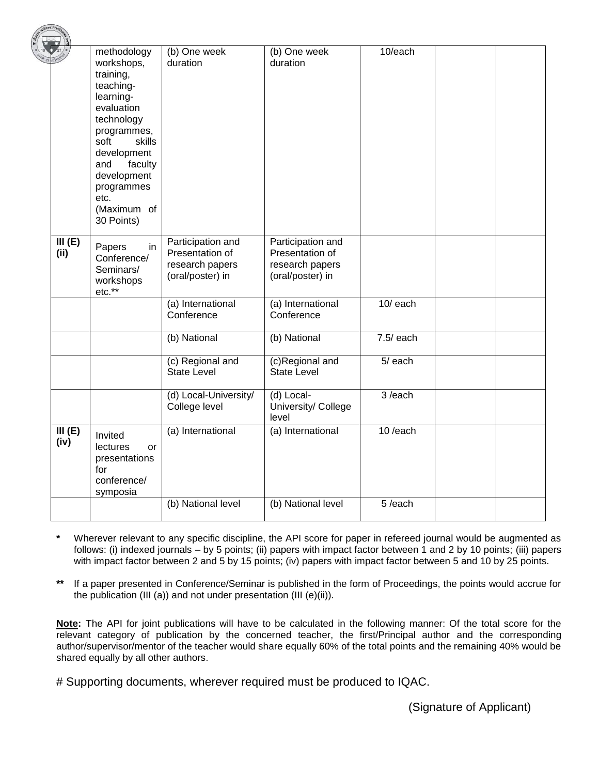|        | methodology                   | (b) One week          | (b) One week                 | 10/each     |  |
|--------|-------------------------------|-----------------------|------------------------------|-------------|--|
|        | workshops,                    | duration              | duration                     |             |  |
|        | training,                     |                       |                              |             |  |
|        | teaching-                     |                       |                              |             |  |
|        | learning-                     |                       |                              |             |  |
|        | evaluation                    |                       |                              |             |  |
|        | technology                    |                       |                              |             |  |
|        |                               |                       |                              |             |  |
|        | programmes,<br>soft<br>skills |                       |                              |             |  |
|        |                               |                       |                              |             |  |
|        | development                   |                       |                              |             |  |
|        | faculty<br>and                |                       |                              |             |  |
|        | development                   |                       |                              |             |  |
|        | programmes                    |                       |                              |             |  |
|        | etc.                          |                       |                              |             |  |
|        | (Maximum of                   |                       |                              |             |  |
|        | 30 Points)                    |                       |                              |             |  |
|        |                               |                       |                              |             |  |
| III(E) | Papers<br>in                  | Participation and     | Participation and            |             |  |
| (ii)   | Conference/                   | Presentation of       | Presentation of              |             |  |
|        | Seminars/                     | research papers       | research papers              |             |  |
|        | workshops                     | (oral/poster) in      | (oral/poster) in             |             |  |
|        | etc.**                        |                       |                              |             |  |
|        |                               | (a) International     | (a) International            | $10/$ each  |  |
|        |                               | Conference            | Conference                   |             |  |
|        |                               |                       |                              |             |  |
|        |                               | (b) National          | (b) National                 | $7.5/$ each |  |
|        |                               |                       |                              |             |  |
|        |                               | (c) Regional and      | (c)Regional and              | $5/$ each   |  |
|        |                               | <b>State Level</b>    | <b>State Level</b>           |             |  |
|        |                               |                       |                              | 3/each      |  |
|        |                               | (d) Local-University/ | (d) Local-                   |             |  |
|        |                               | College level         | University/ College<br>level |             |  |
| III(E) |                               | (a) International     | (a) International            | 10/each     |  |
|        | Invited                       |                       |                              |             |  |
| (iv)   | <b>lectures</b><br><b>or</b>  |                       |                              |             |  |
|        | presentations                 |                       |                              |             |  |
|        | for                           |                       |                              |             |  |
|        | conference/                   |                       |                              |             |  |
|        | symposia                      |                       |                              |             |  |
|        |                               | (b) National level    | (b) National level           | 5/each      |  |
|        |                               |                       |                              |             |  |

**\*** Wherever relevant to any specific discipline, the API score for paper in refereed journal would be augmented as follows: (i) indexed journals – by 5 points; (ii) papers with impact factor between 1 and 2 by 10 points; (iii) papers with impact factor between 2 and 5 by 15 points; (iv) papers with impact factor between 5 and 10 by 25 points.

**\*\*** If a paper presented in Conference/Seminar is published in the form of Proceedings, the points would accrue for the publication (III (a)) and not under presentation (III (e)(ii)).

**Note:** The API for joint publications will have to be calculated in the following manner: Of the total score for the relevant category of publication by the concerned teacher, the first/Principal author and the corresponding author/supervisor/mentor of the teacher would share equally 60% of the total points and the remaining 40% would be shared equally by all other authors.

# Supporting documents, wherever required must be produced to IQAC.

(Signature of Applicant)